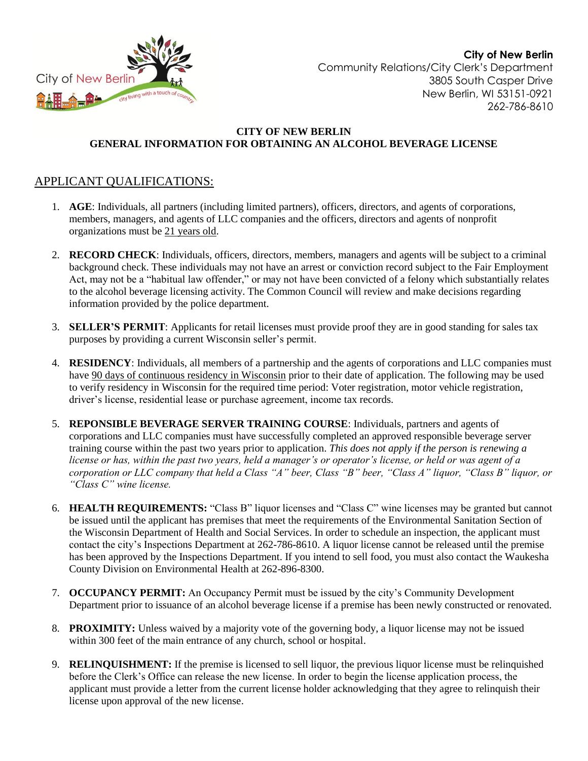

**City of New Berlin** Community Relations/City Clerk's Department 3805 South Casper Drive New Berlin, WI 53151-0921 262-786-8610

### **CITY OF NEW BERLIN GENERAL INFORMATION FOR OBTAINING AN ALCOHOL BEVERAGE LICENSE**

# APPLICANT QUALIFICATIONS:

- 1. **AGE**: Individuals, all partners (including limited partners), officers, directors, and agents of corporations, members, managers, and agents of LLC companies and the officers, directors and agents of nonprofit organizations must be 21 years old.
- 2. **RECORD CHECK**: Individuals, officers, directors, members, managers and agents will be subject to a criminal background check. These individuals may not have an arrest or conviction record subject to the Fair Employment Act, may not be a "habitual law offender," or may not have been convicted of a felony which substantially relates to the alcohol beverage licensing activity. The Common Council will review and make decisions regarding information provided by the police department.
- 3. **SELLER'S PERMIT**: Applicants for retail licenses must provide proof they are in good standing for sales tax purposes by providing a current Wisconsin seller's permit.
- 4. **RESIDENCY**: Individuals, all members of a partnership and the agents of corporations and LLC companies must have 90 days of continuous residency in Wisconsin prior to their date of application. The following may be used to verify residency in Wisconsin for the required time period: Voter registration, motor vehicle registration, driver's license, residential lease or purchase agreement, income tax records.
- 5. **REPONSIBLE BEVERAGE SERVER TRAINING COURSE**: Individuals, partners and agents of corporations and LLC companies must have successfully completed an approved responsible beverage server training course within the past two years prior to application. *This does not apply if the person is renewing a license or has, within the past two years, held a manager's or operator's license, or held or was agent of a corporation or LLC company that held a Class "A" beer, Class "B" beer, "Class A" liquor, "Class B" liquor, or "Class C" wine license.*
- 6. **HEALTH REQUIREMENTS:** "Class B" liquor licenses and "Class C" wine licenses may be granted but cannot be issued until the applicant has premises that meet the requirements of the Environmental Sanitation Section of the Wisconsin Department of Health and Social Services. In order to schedule an inspection, the applicant must contact the city's Inspections Department at 262-786-8610. A liquor license cannot be released until the premise has been approved by the Inspections Department. If you intend to sell food, you must also contact the Waukesha County Division on Environmental Health at 262-896-8300.
- 7. **OCCUPANCY PERMIT:** An Occupancy Permit must be issued by the city's Community Development Department prior to issuance of an alcohol beverage license if a premise has been newly constructed or renovated.
- 8. **PROXIMITY:** Unless waived by a majority vote of the governing body, a liquor license may not be issued within 300 feet of the main entrance of any church, school or hospital.
- 9. **RELINQUISHMENT:** If the premise is licensed to sell liquor, the previous liquor license must be relinquished before the Clerk's Office can release the new license. In order to begin the license application process, the applicant must provide a letter from the current license holder acknowledging that they agree to relinquish their license upon approval of the new license.